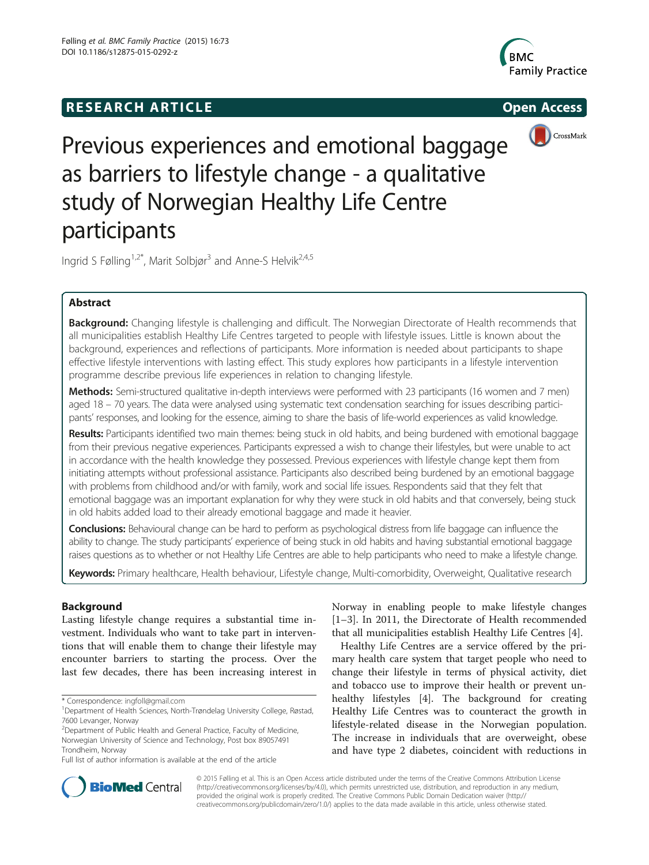## **RESEARCH ARTICLE Example 2014 CONSIDERING CONSIDERING CONSIDERING CONSIDERING CONSIDERING CONSIDERING CONSIDERING CONSIDERING CONSIDERING CONSIDERING CONSIDERING CONSIDERING CONSIDERING CONSIDERING CONSIDERING CONSIDE**





Previous experiences and emotional baggage as barriers to lifestyle change - a qualitative study of Norwegian Healthy Life Centre participants

Ingrid S Følling<sup>1,2\*</sup>, Marit Solbjør<sup>3</sup> and Anne-S Helvik<sup>2,4,5</sup>

## Abstract

Background: Changing lifestyle is challenging and difficult. The Norwegian Directorate of Health recommends that all municipalities establish Healthy Life Centres targeted to people with lifestyle issues. Little is known about the background, experiences and reflections of participants. More information is needed about participants to shape effective lifestyle interventions with lasting effect. This study explores how participants in a lifestyle intervention programme describe previous life experiences in relation to changing lifestyle.

Methods: Semi-structured qualitative in-depth interviews were performed with 23 participants (16 women and 7 men) aged 18 – 70 years. The data were analysed using systematic text condensation searching for issues describing participants' responses, and looking for the essence, aiming to share the basis of life-world experiences as valid knowledge.

Results: Participants identified two main themes: being stuck in old habits, and being burdened with emotional baggage from their previous negative experiences. Participants expressed a wish to change their lifestyles, but were unable to act in accordance with the health knowledge they possessed. Previous experiences with lifestyle change kept them from initiating attempts without professional assistance. Participants also described being burdened by an emotional baggage with problems from childhood and/or with family, work and social life issues. Respondents said that they felt that emotional baggage was an important explanation for why they were stuck in old habits and that conversely, being stuck in old habits added load to their already emotional baggage and made it heavier.

**Conclusions:** Behavioural change can be hard to perform as psychological distress from life baggage can influence the ability to change. The study participants' experience of being stuck in old habits and having substantial emotional baggage raises questions as to whether or not Healthy Life Centres are able to help participants who need to make a lifestyle change.

Keywords: Primary healthcare, Health behaviour, Lifestyle change, Multi-comorbidity, Overweight, Qualitative research

## Background

Lasting lifestyle change requires a substantial time investment. Individuals who want to take part in interventions that will enable them to change their lifestyle may encounter barriers to starting the process. Over the last few decades, there has been increasing interest in

Norway in enabling people to make lifestyle changes [[1](#page-7-0)–[3\]](#page-7-0). In 2011, the Directorate of Health recommended that all municipalities establish Healthy Life Centres [[4\]](#page-7-0).

Healthy Life Centres are a service offered by the primary health care system that target people who need to change their lifestyle in terms of physical activity, diet and tobacco use to improve their health or prevent unhealthy lifestyles [[4\]](#page-7-0). The background for creating Healthy Life Centres was to counteract the growth in lifestyle-related disease in the Norwegian population. The increase in individuals that are overweight, obese and have type 2 diabetes, coincident with reductions in



© 2015 Følling et al. This is an Open Access article distributed under the terms of the Creative Commons Attribution License [\(http://creativecommons.org/licenses/by/4.0\)](http://creativecommons.org/licenses/by/4.0), which permits unrestricted use, distribution, and reproduction in any medium, provided the original work is properly credited. The Creative Commons Public Domain Dedication waiver [\(http://](http://creativecommons.org/publicdomain/zero/1.0/) [creativecommons.org/publicdomain/zero/1.0/\)](http://creativecommons.org/publicdomain/zero/1.0/) applies to the data made available in this article, unless otherwise stated.

<sup>\*</sup> Correspondence: [ingfoll@gmail.com](mailto:ingfoll@gmail.com) <sup>1</sup>

Department of Health Sciences, North-Trøndelag University College, Røstad, 7600 Levanger, Norway

<sup>&</sup>lt;sup>2</sup> Department of Public Health and General Practice, Faculty of Medicine, Norwegian University of Science and Technology, Post box 89057491 Trondheim, Norway

Full list of author information is available at the end of the article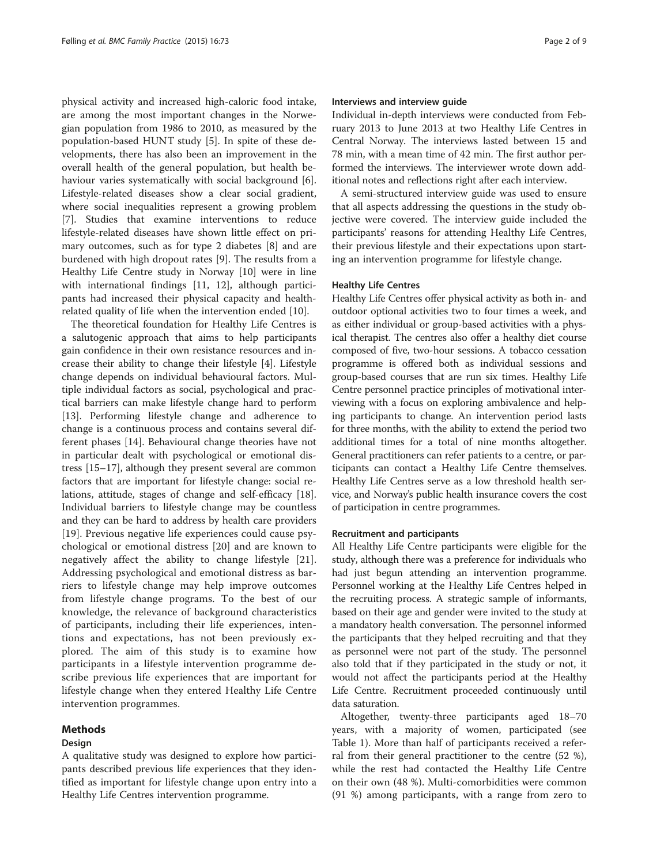physical activity and increased high-caloric food intake, are among the most important changes in the Norwegian population from 1986 to 2010, as measured by the population-based HUNT study [[5\]](#page-7-0). In spite of these developments, there has also been an improvement in the overall health of the general population, but health be-haviour varies systematically with social background [\[6](#page-7-0)]. Lifestyle-related diseases show a clear social gradient, where social inequalities represent a growing problem [[7\]](#page-7-0). Studies that examine interventions to reduce lifestyle-related diseases have shown little effect on primary outcomes, such as for type 2 diabetes [\[8](#page-7-0)] and are burdened with high dropout rates [\[9](#page-7-0)]. The results from a Healthy Life Centre study in Norway [\[10](#page-7-0)] were in line with international findings [\[11](#page-7-0), [12\]](#page-7-0), although participants had increased their physical capacity and healthrelated quality of life when the intervention ended [[10\]](#page-7-0).

The theoretical foundation for Healthy Life Centres is a salutogenic approach that aims to help participants gain confidence in their own resistance resources and increase their ability to change their lifestyle [[4\]](#page-7-0). Lifestyle change depends on individual behavioural factors. Multiple individual factors as social, psychological and practical barriers can make lifestyle change hard to perform [[13\]](#page-7-0). Performing lifestyle change and adherence to change is a continuous process and contains several different phases [\[14](#page-7-0)]. Behavioural change theories have not in particular dealt with psychological or emotional distress [[15](#page-7-0)–[17](#page-7-0)], although they present several are common factors that are important for lifestyle change: social relations, attitude, stages of change and self-efficacy [\[18](#page-7-0)]. Individual barriers to lifestyle change may be countless and they can be hard to address by health care providers [[19\]](#page-7-0). Previous negative life experiences could cause psychological or emotional distress [\[20](#page-7-0)] and are known to negatively affect the ability to change lifestyle [[21](#page-7-0)]. Addressing psychological and emotional distress as barriers to lifestyle change may help improve outcomes from lifestyle change programs. To the best of our knowledge, the relevance of background characteristics of participants, including their life experiences, intentions and expectations, has not been previously explored. The aim of this study is to examine how participants in a lifestyle intervention programme describe previous life experiences that are important for lifestyle change when they entered Healthy Life Centre intervention programmes.

#### Methods

#### Design

A qualitative study was designed to explore how participants described previous life experiences that they identified as important for lifestyle change upon entry into a Healthy Life Centres intervention programme.

#### Interviews and interview guide

Individual in-depth interviews were conducted from February 2013 to June 2013 at two Healthy Life Centres in Central Norway. The interviews lasted between 15 and 78 min, with a mean time of 42 min. The first author performed the interviews. The interviewer wrote down additional notes and reflections right after each interview.

A semi-structured interview guide was used to ensure that all aspects addressing the questions in the study objective were covered. The interview guide included the participants' reasons for attending Healthy Life Centres, their previous lifestyle and their expectations upon starting an intervention programme for lifestyle change.

#### Healthy Life Centres

Healthy Life Centres offer physical activity as both in- and outdoor optional activities two to four times a week, and as either individual or group-based activities with a physical therapist. The centres also offer a healthy diet course composed of five, two-hour sessions. A tobacco cessation programme is offered both as individual sessions and group-based courses that are run six times. Healthy Life Centre personnel practice principles of motivational interviewing with a focus on exploring ambivalence and helping participants to change. An intervention period lasts for three months, with the ability to extend the period two additional times for a total of nine months altogether. General practitioners can refer patients to a centre, or participants can contact a Healthy Life Centre themselves. Healthy Life Centres serve as a low threshold health service, and Norway's public health insurance covers the cost of participation in centre programmes.

#### Recruitment and participants

All Healthy Life Centre participants were eligible for the study, although there was a preference for individuals who had just begun attending an intervention programme. Personnel working at the Healthy Life Centres helped in the recruiting process. A strategic sample of informants, based on their age and gender were invited to the study at a mandatory health conversation. The personnel informed the participants that they helped recruiting and that they as personnel were not part of the study. The personnel also told that if they participated in the study or not, it would not affect the participants period at the Healthy Life Centre. Recruitment proceeded continuously until data saturation.

Altogether, twenty-three participants aged 18–70 years, with a majority of women, participated (see Table [1\)](#page-2-0). More than half of participants received a referral from their general practitioner to the centre (52 %), while the rest had contacted the Healthy Life Centre on their own (48 %). Multi-comorbidities were common (91 %) among participants, with a range from zero to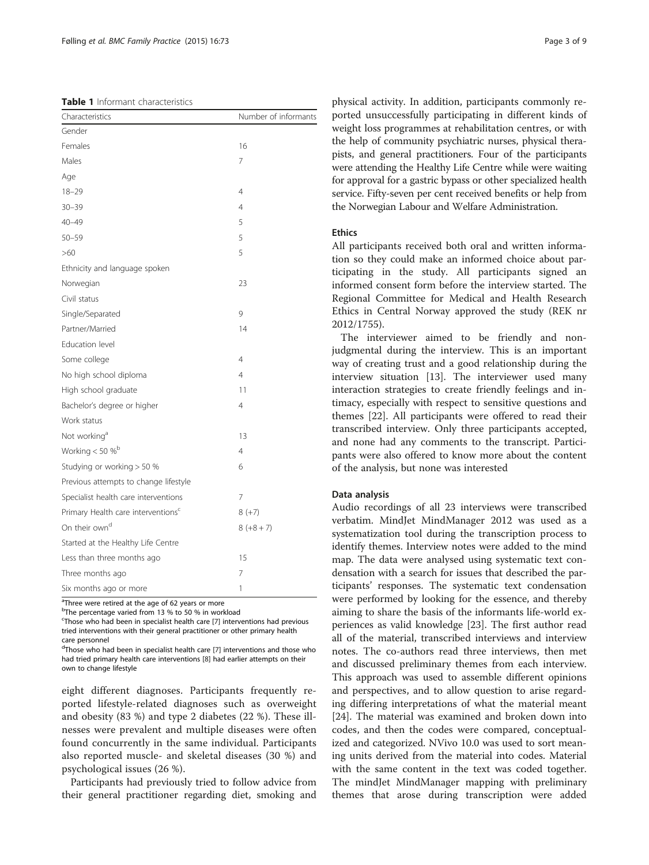<span id="page-2-0"></span>Table 1 Informant characteristics

| Characteristics                                | Number of informants |
|------------------------------------------------|----------------------|
| Gender                                         |                      |
| Females                                        | 16                   |
| Males                                          | 7                    |
| Age                                            |                      |
| $18 - 29$                                      | $\overline{4}$       |
| $30 - 39$                                      | $\overline{4}$       |
| $40 - 49$                                      | 5                    |
| $50 - 59$                                      | 5                    |
| >60                                            | 5                    |
| Ethnicity and language spoken                  |                      |
| Norwegian                                      | 23                   |
| Civil status                                   |                      |
| Single/Separated                               | 9                    |
| Partner/Married                                | 14                   |
| Education level                                |                      |
| Some college                                   | $\overline{4}$       |
| No high school diploma                         | $\overline{4}$       |
| High school graduate                           | 11                   |
| Bachelor's degree or higher                    | 4                    |
| Work status                                    |                      |
| Not working <sup>a</sup>                       | 13                   |
| Working $< 50 \%$                              | $\overline{4}$       |
| Studying or working > 50 %                     | 6                    |
| Previous attempts to change lifestyle          |                      |
| Specialist health care interventions           | 7                    |
| Primary Health care interventions <sup>c</sup> | $8 (+7)$             |
| On their own <sup>d</sup>                      | $8 (+8 + 7)$         |
| Started at the Healthy Life Centre             |                      |
| Less than three months ago                     | 15                   |
| Three months ago                               | 7                    |
| Six months ago or more                         | 1                    |

<sup>a</sup>Three were retired at the age of 62 years or more

<sup>b</sup>The percentage varied from 13 % to 50 % in workload

<sup>c</sup>Those who had been in specialist health care [[7](#page-7-0)] interventions had previous tried interventions with their general practitioner or other primary health care personnel

<sup>d</sup>Those who had been in specialist health care [\[7\]](#page-7-0) interventions and those who had tried primary health care interventions [[8\]](#page-7-0) had earlier attempts on their own to change lifestyle

eight different diagnoses. Participants frequently reported lifestyle-related diagnoses such as overweight and obesity (83 %) and type 2 diabetes (22 %). These illnesses were prevalent and multiple diseases were often found concurrently in the same individual. Participants also reported muscle- and skeletal diseases (30 %) and psychological issues (26 %).

Participants had previously tried to follow advice from their general practitioner regarding diet, smoking and

physical activity. In addition, participants commonly reported unsuccessfully participating in different kinds of weight loss programmes at rehabilitation centres, or with the help of community psychiatric nurses, physical therapists, and general practitioners. Four of the participants were attending the Healthy Life Centre while were waiting for approval for a gastric bypass or other specialized health service. Fifty-seven per cent received benefits or help from the Norwegian Labour and Welfare Administration.

#### Ethics

All participants received both oral and written information so they could make an informed choice about participating in the study. All participants signed an informed consent form before the interview started. The Regional Committee for Medical and Health Research Ethics in Central Norway approved the study (REK nr 2012/1755).

The interviewer aimed to be friendly and nonjudgmental during the interview. This is an important way of creating trust and a good relationship during the interview situation [\[13](#page-7-0)]. The interviewer used many interaction strategies to create friendly feelings and intimacy, especially with respect to sensitive questions and themes [\[22](#page-7-0)]. All participants were offered to read their transcribed interview. Only three participants accepted, and none had any comments to the transcript. Participants were also offered to know more about the content of the analysis, but none was interested

#### Data analysis

Audio recordings of all 23 interviews were transcribed verbatim. MindJet MindManager 2012 was used as a systematization tool during the transcription process to identify themes. Interview notes were added to the mind map. The data were analysed using systematic text condensation with a search for issues that described the participants' responses. The systematic text condensation were performed by looking for the essence, and thereby aiming to share the basis of the informants life-world experiences as valid knowledge [[23\]](#page-7-0). The first author read all of the material, transcribed interviews and interview notes. The co-authors read three interviews, then met and discussed preliminary themes from each interview. This approach was used to assemble different opinions and perspectives, and to allow question to arise regarding differing interpretations of what the material meant [[24\]](#page-7-0). The material was examined and broken down into codes, and then the codes were compared, conceptualized and categorized. NVivo 10.0 was used to sort meaning units derived from the material into codes. Material with the same content in the text was coded together. The mindJet MindManager mapping with preliminary themes that arose during transcription were added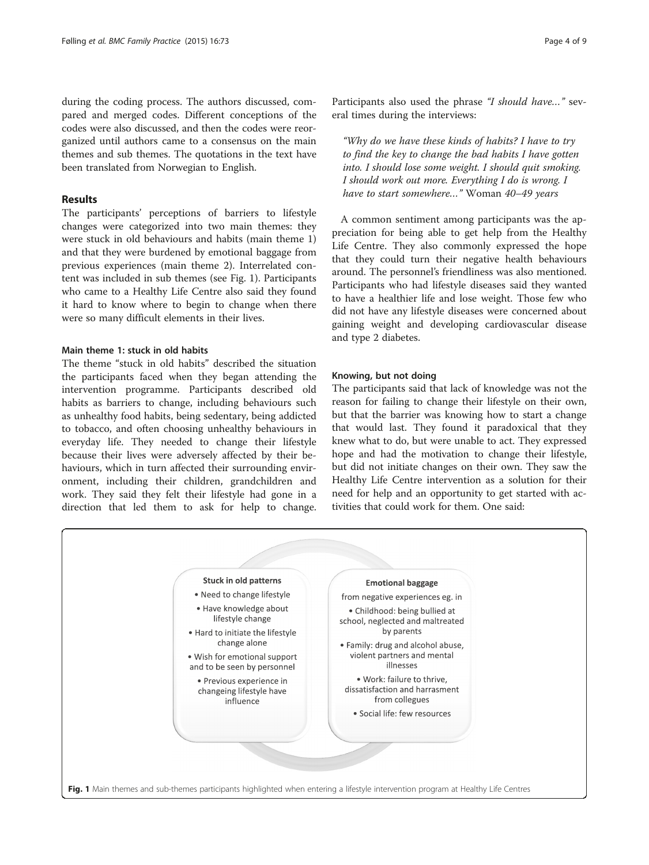during the coding process. The authors discussed, compared and merged codes. Different conceptions of the codes were also discussed, and then the codes were reorganized until authors came to a consensus on the main themes and sub themes. The quotations in the text have been translated from Norwegian to English.

## Results

The participants' perceptions of barriers to lifestyle changes were categorized into two main themes: they were stuck in old behaviours and habits (main theme 1) and that they were burdened by emotional baggage from previous experiences (main theme 2). Interrelated content was included in sub themes (see Fig. 1). Participants who came to a Healthy Life Centre also said they found it hard to know where to begin to change when there were so many difficult elements in their lives.

## Main theme 1: stuck in old habits

The theme "stuck in old habits" described the situation the participants faced when they began attending the intervention programme. Participants described old habits as barriers to change, including behaviours such as unhealthy food habits, being sedentary, being addicted to tobacco, and often choosing unhealthy behaviours in everyday life. They needed to change their lifestyle because their lives were adversely affected by their behaviours, which in turn affected their surrounding environment, including their children, grandchildren and work. They said they felt their lifestyle had gone in a direction that led them to ask for help to change.

Participants also used the phrase "I should have…" several times during the interviews:

"Why do we have these kinds of habits? I have to try to find the key to change the bad habits I have gotten into. I should lose some weight. I should quit smoking. I should work out more. Everything I do is wrong. I have to start somewhere..." Woman 40-49 years

A common sentiment among participants was the appreciation for being able to get help from the Healthy Life Centre. They also commonly expressed the hope that they could turn their negative health behaviours around. The personnel's friendliness was also mentioned. Participants who had lifestyle diseases said they wanted to have a healthier life and lose weight. Those few who did not have any lifestyle diseases were concerned about gaining weight and developing cardiovascular disease and type 2 diabetes.

#### Knowing, but not doing

The participants said that lack of knowledge was not the reason for failing to change their lifestyle on their own, but that the barrier was knowing how to start a change that would last. They found it paradoxical that they knew what to do, but were unable to act. They expressed hope and had the motivation to change their lifestyle, but did not initiate changes on their own. They saw the Healthy Life Centre intervention as a solution for their need for help and an opportunity to get started with activities that could work for them. One said:

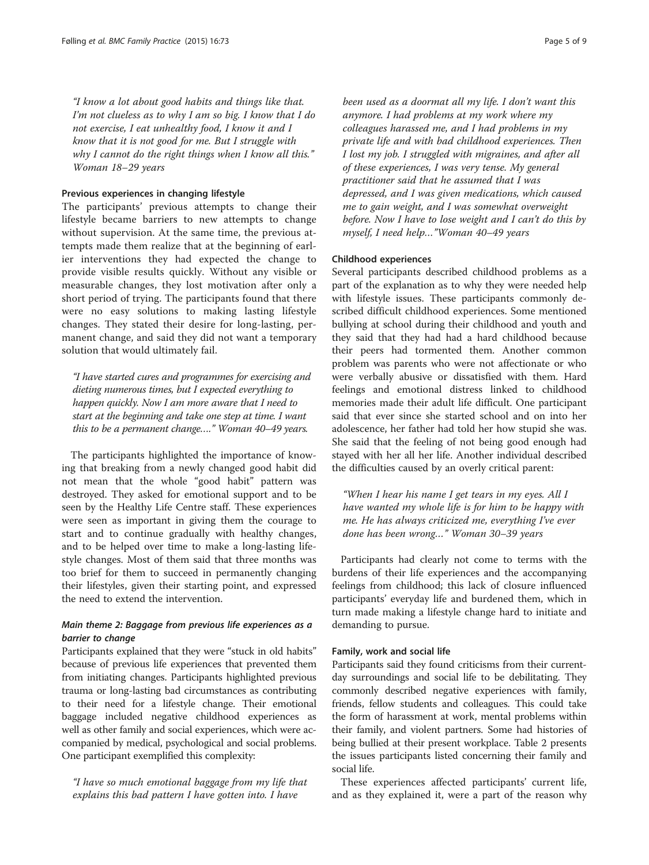"I know a lot about good habits and things like that. I'm not clueless as to why I am so big. I know that I do not exercise, I eat unhealthy food, I know it and I know that it is not good for me. But I struggle with why I cannot do the right things when I know all this." Woman 18–29 years

#### Previous experiences in changing lifestyle

The participants' previous attempts to change their lifestyle became barriers to new attempts to change without supervision. At the same time, the previous attempts made them realize that at the beginning of earlier interventions they had expected the change to provide visible results quickly. Without any visible or measurable changes, they lost motivation after only a short period of trying. The participants found that there were no easy solutions to making lasting lifestyle changes. They stated their desire for long-lasting, permanent change, and said they did not want a temporary solution that would ultimately fail.

"I have started cures and programmes for exercising and dieting numerous times, but I expected everything to happen quickly. Now I am more aware that I need to start at the beginning and take one step at time. I want this to be a permanent change…." Woman 40–49 years.

The participants highlighted the importance of knowing that breaking from a newly changed good habit did not mean that the whole "good habit" pattern was destroyed. They asked for emotional support and to be seen by the Healthy Life Centre staff. These experiences were seen as important in giving them the courage to start and to continue gradually with healthy changes, and to be helped over time to make a long-lasting lifestyle changes. Most of them said that three months was too brief for them to succeed in permanently changing their lifestyles, given their starting point, and expressed the need to extend the intervention.

# Main theme 2: Baggage from previous life experiences as a

Participants explained that they were "stuck in old habits" because of previous life experiences that prevented them from initiating changes. Participants highlighted previous trauma or long-lasting bad circumstances as contributing to their need for a lifestyle change. Their emotional baggage included negative childhood experiences as well as other family and social experiences, which were accompanied by medical, psychological and social problems. One participant exemplified this complexity:

"I have so much emotional baggage from my life that explains this bad pattern I have gotten into. I have

been used as a doormat all my life. I don't want this anymore. I had problems at my work where my colleagues harassed me, and I had problems in my private life and with bad childhood experiences. Then I lost my job. I struggled with migraines, and after all of these experiences, I was very tense. My general practitioner said that he assumed that I was depressed, and I was given medications, which caused me to gain weight, and I was somewhat overweight before. Now I have to lose weight and I can't do this by myself, I need help…"Woman 40–49 years

#### Childhood experiences

Several participants described childhood problems as a part of the explanation as to why they were needed help with lifestyle issues. These participants commonly described difficult childhood experiences. Some mentioned bullying at school during their childhood and youth and they said that they had had a hard childhood because their peers had tormented them. Another common problem was parents who were not affectionate or who were verbally abusive or dissatisfied with them. Hard feelings and emotional distress linked to childhood memories made their adult life difficult. One participant said that ever since she started school and on into her adolescence, her father had told her how stupid she was. She said that the feeling of not being good enough had stayed with her all her life. Another individual described the difficulties caused by an overly critical parent:

"When I hear his name I get tears in my eyes. All I have wanted my whole life is for him to be happy with me. He has always criticized me, everything I've ever done has been wrong…" Woman 30–39 years

Participants had clearly not come to terms with the burdens of their life experiences and the accompanying feelings from childhood; this lack of closure influenced participants' everyday life and burdened them, which in turn made making a lifestyle change hard to initiate and demanding to pursue.

#### Family, work and social life

Participants said they found criticisms from their currentday surroundings and social life to be debilitating. They commonly described negative experiences with family, friends, fellow students and colleagues. This could take the form of harassment at work, mental problems within their family, and violent partners. Some had histories of being bullied at their present workplace. Table [2](#page-5-0) presents the issues participants listed concerning their family and social life.

These experiences affected participants' current life, and as they explained it, were a part of the reason why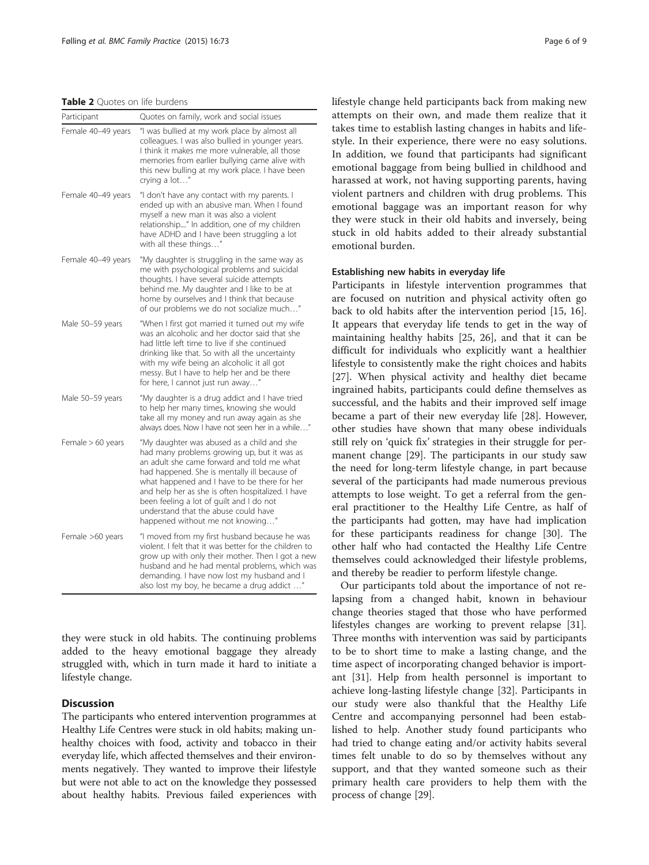#### <span id="page-5-0"></span>Table 2 Ouotes on life burdens

| Participant        | Quotes on family, work and social issues                                                                                                                                                                                                                                                                                                                                                                             |
|--------------------|----------------------------------------------------------------------------------------------------------------------------------------------------------------------------------------------------------------------------------------------------------------------------------------------------------------------------------------------------------------------------------------------------------------------|
|                    |                                                                                                                                                                                                                                                                                                                                                                                                                      |
| Female 40-49 years | "I was bullied at my work place by almost all<br>colleagues. I was also bullied in younger years.<br>I think it makes me more vulnerable, all those<br>memories from earlier bullying came alive with<br>this new bulling at my work place. I have been<br>crying a lot"                                                                                                                                             |
| Female 40-49 years | "I don't have any contact with my parents. I<br>ended up with an abusive man. When I found<br>myself a new man it was also a violent<br>relationship" In addition, one of my children<br>have ADHD and I have been struggling a lot<br>with all these things"                                                                                                                                                        |
| Female 40-49 years | "My daughter is struggling in the same way as<br>me with psychological problems and suicidal<br>thoughts. I have several suicide attempts<br>behind me. My daughter and I like to be at<br>home by ourselves and I think that because<br>of our problems we do not socialize much"                                                                                                                                   |
| Male 50-59 years   | "When I first got married it turned out my wife<br>was an alcoholic and her doctor said that she<br>had little left time to live if she continued<br>drinking like that. So with all the uncertainty<br>with my wife being an alcoholic it all got<br>messy. But I have to help her and be there<br>for here, I cannot just run away"                                                                                |
| Male 50-59 years   | "My daughter is a drug addict and I have tried<br>to help her many times, knowing she would<br>take all my money and run away again as she<br>always does. Now I have not seen her in a while"                                                                                                                                                                                                                       |
| Female > 60 years  | "My daughter was abused as a child and she<br>had many problems growing up, but it was as<br>an adult she came forward and told me what<br>had happened. She is mentally ill because of<br>what happened and I have to be there for her<br>and help her as she is often hospitalized. I have<br>been feeling a lot of guilt and I do not<br>understand that the abuse could have<br>happened without me not knowing" |
| Female >60 years   | "I moved from my first husband because he was<br>violent. I felt that it was better for the children to<br>grow up with only their mother. Then I got a new<br>husband and he had mental problems, which was<br>demanding. I have now lost my husband and I<br>also lost my boy, he became a drug addict "                                                                                                           |

they were stuck in old habits. The continuing problems added to the heavy emotional baggage they already struggled with, which in turn made it hard to initiate a lifestyle change.

## **Discussion**

The participants who entered intervention programmes at Healthy Life Centres were stuck in old habits; making unhealthy choices with food, activity and tobacco in their everyday life, which affected themselves and their environments negatively. They wanted to improve their lifestyle but were not able to act on the knowledge they possessed about healthy habits. Previous failed experiences with lifestyle change held participants back from making new attempts on their own, and made them realize that it takes time to establish lasting changes in habits and lifestyle. In their experience, there were no easy solutions. In addition, we found that participants had significant emotional baggage from being bullied in childhood and harassed at work, not having supporting parents, having violent partners and children with drug problems. This emotional baggage was an important reason for why they were stuck in their old habits and inversely, being stuck in old habits added to their already substantial emotional burden.

## Establishing new habits in everyday life

Participants in lifestyle intervention programmes that are focused on nutrition and physical activity often go back to old habits after the intervention period [[15, 16](#page-7-0)]. It appears that everyday life tends to get in the way of maintaining healthy habits [\[25, 26](#page-7-0)], and that it can be difficult for individuals who explicitly want a healthier lifestyle to consistently make the right choices and habits [[27\]](#page-7-0). When physical activity and healthy diet became ingrained habits, participants could define themselves as successful, and the habits and their improved self image became a part of their new everyday life [[28](#page-7-0)]. However, other studies have shown that many obese individuals still rely on 'quick fix' strategies in their struggle for permanent change [[29\]](#page-7-0). The participants in our study saw the need for long-term lifestyle change, in part because several of the participants had made numerous previous attempts to lose weight. To get a referral from the general practitioner to the Healthy Life Centre, as half of the participants had gotten, may have had implication for these participants readiness for change [\[30](#page-7-0)]. The other half who had contacted the Healthy Life Centre themselves could acknowledged their lifestyle problems, and thereby be readier to perform lifestyle change.

Our participants told about the importance of not relapsing from a changed habit, known in behaviour change theories staged that those who have performed lifestyles changes are working to prevent relapse [\[31](#page-7-0)]. Three months with intervention was said by participants to be to short time to make a lasting change, and the time aspect of incorporating changed behavior is important [\[31\]](#page-7-0). Help from health personnel is important to achieve long-lasting lifestyle change [[32\]](#page-7-0). Participants in our study were also thankful that the Healthy Life Centre and accompanying personnel had been established to help. Another study found participants who had tried to change eating and/or activity habits several times felt unable to do so by themselves without any support, and that they wanted someone such as their primary health care providers to help them with the process of change [[29\]](#page-7-0).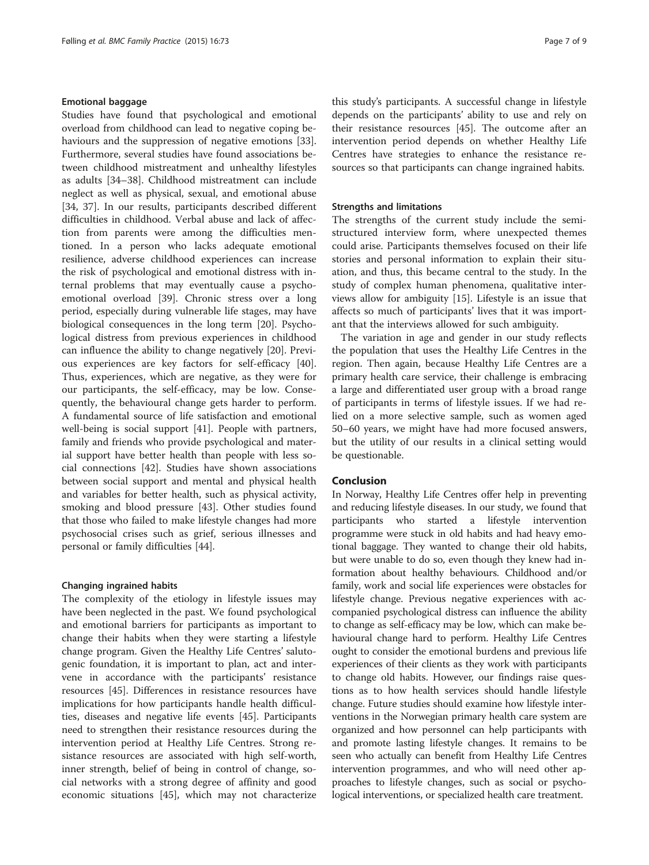#### Emotional baggage

Studies have found that psychological and emotional overload from childhood can lead to negative coping behaviours and the suppression of negative emotions [\[33](#page-7-0)]. Furthermore, several studies have found associations between childhood mistreatment and unhealthy lifestyles as adults [\[34](#page-7-0)–[38\]](#page-8-0). Childhood mistreatment can include neglect as well as physical, sexual, and emotional abuse [[34, 37\]](#page-7-0). In our results, participants described different difficulties in childhood. Verbal abuse and lack of affection from parents were among the difficulties mentioned. In a person who lacks adequate emotional resilience, adverse childhood experiences can increase the risk of psychological and emotional distress with internal problems that may eventually cause a psychoemotional overload [\[39](#page-8-0)]. Chronic stress over a long period, especially during vulnerable life stages, may have biological consequences in the long term [\[20\]](#page-7-0). Psychological distress from previous experiences in childhood can influence the ability to change negatively [[20\]](#page-7-0). Previous experiences are key factors for self-efficacy [\[40](#page-8-0)]. Thus, experiences, which are negative, as they were for our participants, the self-efficacy, may be low. Consequently, the behavioural change gets harder to perform. A fundamental source of life satisfaction and emotional well-being is social support [[41](#page-8-0)]. People with partners, family and friends who provide psychological and material support have better health than people with less social connections [[42\]](#page-8-0). Studies have shown associations between social support and mental and physical health and variables for better health, such as physical activity, smoking and blood pressure [\[43](#page-8-0)]. Other studies found that those who failed to make lifestyle changes had more psychosocial crises such as grief, serious illnesses and personal or family difficulties [\[44\]](#page-8-0).

#### Changing ingrained habits

The complexity of the etiology in lifestyle issues may have been neglected in the past. We found psychological and emotional barriers for participants as important to change their habits when they were starting a lifestyle change program. Given the Healthy Life Centres' salutogenic foundation, it is important to plan, act and intervene in accordance with the participants' resistance resources [[45\]](#page-8-0). Differences in resistance resources have implications for how participants handle health difficulties, diseases and negative life events [[45](#page-8-0)]. Participants need to strengthen their resistance resources during the intervention period at Healthy Life Centres. Strong resistance resources are associated with high self-worth, inner strength, belief of being in control of change, social networks with a strong degree of affinity and good economic situations [[45](#page-8-0)], which may not characterize this study's participants. A successful change in lifestyle depends on the participants' ability to use and rely on their resistance resources [[45\]](#page-8-0). The outcome after an intervention period depends on whether Healthy Life Centres have strategies to enhance the resistance resources so that participants can change ingrained habits.

#### Strengths and limitations

The strengths of the current study include the semistructured interview form, where unexpected themes could arise. Participants themselves focused on their life stories and personal information to explain their situation, and thus, this became central to the study. In the study of complex human phenomena, qualitative interviews allow for ambiguity [[15\]](#page-7-0). Lifestyle is an issue that affects so much of participants' lives that it was important that the interviews allowed for such ambiguity.

The variation in age and gender in our study reflects the population that uses the Healthy Life Centres in the region. Then again, because Healthy Life Centres are a primary health care service, their challenge is embracing a large and differentiated user group with a broad range of participants in terms of lifestyle issues. If we had relied on a more selective sample, such as women aged 50–60 years, we might have had more focused answers, but the utility of our results in a clinical setting would be questionable.

#### Conclusion

In Norway, Healthy Life Centres offer help in preventing and reducing lifestyle diseases. In our study, we found that participants who started a lifestyle intervention programme were stuck in old habits and had heavy emotional baggage. They wanted to change their old habits, but were unable to do so, even though they knew had information about healthy behaviours. Childhood and/or family, work and social life experiences were obstacles for lifestyle change. Previous negative experiences with accompanied psychological distress can influence the ability to change as self-efficacy may be low, which can make behavioural change hard to perform. Healthy Life Centres ought to consider the emotional burdens and previous life experiences of their clients as they work with participants to change old habits. However, our findings raise questions as to how health services should handle lifestyle change. Future studies should examine how lifestyle interventions in the Norwegian primary health care system are organized and how personnel can help participants with and promote lasting lifestyle changes. It remains to be seen who actually can benefit from Healthy Life Centres intervention programmes, and who will need other approaches to lifestyle changes, such as social or psychological interventions, or specialized health care treatment.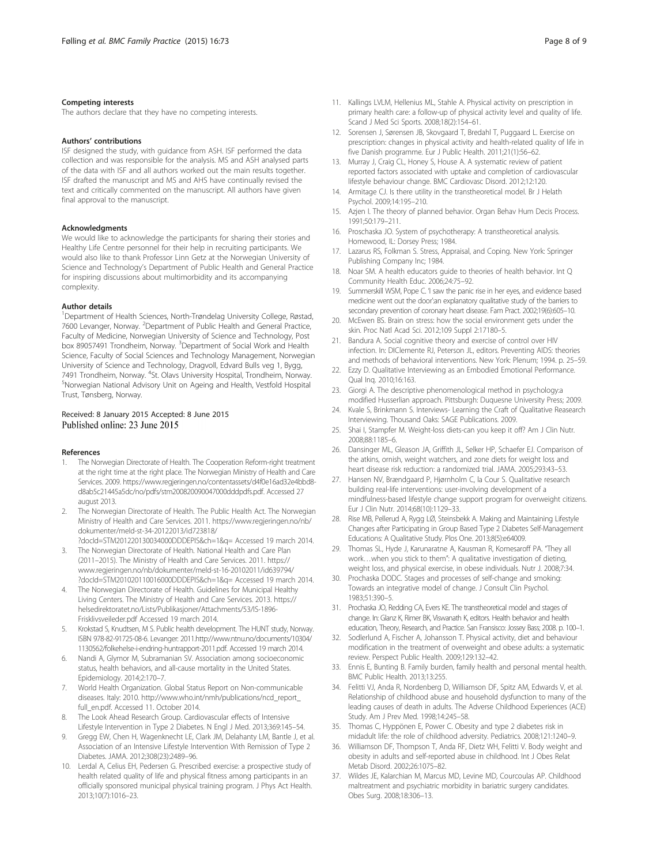#### <span id="page-7-0"></span>Competing interests

The authors declare that they have no competing interests.

#### Authors' contributions

ISF designed the study, with guidance from ASH. ISF performed the data collection and was responsible for the analysis. MS and ASH analysed parts of the data with ISF and all authors worked out the main results together. ISF drafted the manuscript and MS and AHS have continually revised the text and critically commented on the manuscript. All authors have given final approval to the manuscript.

#### **Acknowledaments**

We would like to acknowledge the participants for sharing their stories and Healthy Life Centre personnel for their help in recruiting participants. We would also like to thank Professor Linn Getz at the Norwegian University of Science and Technology's Department of Public Health and General Practice for inspiring discussions about multimorbidity and its accompanying complexity.

#### Author details

<sup>1</sup>Department of Health Sciences, North-Trøndelag University College, Røstad, 7600 Levanger, Norway. <sup>2</sup>Department of Public Health and General Practice, Faculty of Medicine, Norwegian University of Science and Technology, Post box 89057491 Trondheim, Norway. <sup>3</sup>Department of Social Work and Health Science, Faculty of Social Sciences and Technology Management, Norwegian University of Science and Technology, Dragvoll, Edvard Bulls veg 1, Bygg, 7491 Trondheim, Norway. <sup>4</sup>St. Olavs University Hospital, Trondheim, Norway.<br><sup>5</sup>Norwagian National Advisory Unit on Agging and Hoalth Vestfold Hospital <sup>5</sup>Norwegian National Advisory Unit on Ageing and Health, Vestfold Hospital Trust, Tønsberg, Norway.

# Received: 8 January 2015 Accepted: 8 June 2015

#### References

- 1. The Norwegian Directorate of Health. The Cooperation Reform-right treatment at the right time at the right place. The Norwegian Ministry of Health and Care Services. 2009. [https://www.regjeringen.no/contentassets/d4f0e16ad32e4bbd8](https://www.regjeringen.no/contentassets/d4f0e16ad32e4bbd8d8ab5c21445a5dc/no/pdfs/stm200820090047000dddpdfs.pdf) [d8ab5c21445a5dc/no/pdfs/stm200820090047000dddpdfs.pdf.](https://www.regjeringen.no/contentassets/d4f0e16ad32e4bbd8d8ab5c21445a5dc/no/pdfs/stm200820090047000dddpdfs.pdf) Accessed 27 august 2013.
- 2. The Norwegian Directorate of Health. The Public Health Act. The Norwegian Ministry of Health and Care Services. 2011. [https://www.regjeringen.no/nb/](https://www.regjeringen.no/nb/dokumenter/meld-st-34-20122013/id723818/?docId=STM201220130034000DDDEPIS&ch=1&q) [dokumenter/meld-st-34-20122013/id723818/](https://www.regjeringen.no/nb/dokumenter/meld-st-34-20122013/id723818/?docId=STM201220130034000DDDEPIS&ch=1&q)
- [?docId=STM201220130034000DDDEPIS&ch=1&q=](https://www.regjeringen.no/nb/dokumenter/meld-st-34-20122013/id723818/?docId=STM201220130034000DDDEPIS&ch=1&q) Accessed 19 march 2014. The Norwegian Directorate of Health. National Health and Care Plan (2011–2015). The Ministry of Health and Care Services. 2011. [https://](https://www.regjeringen.no/nb/dokumenter/meld-st-16-20102011/id639794/?docId=STM201020110016000DDDEPIS&ch=1&q) [www.regjeringen.no/nb/dokumenter/meld-st-16-20102011/id639794/](https://www.regjeringen.no/nb/dokumenter/meld-st-16-20102011/id639794/?docId=STM201020110016000DDDEPIS&ch=1&q) [?docId=STM201020110016000DDDEPIS&ch=1&q=](https://www.regjeringen.no/nb/dokumenter/meld-st-16-20102011/id639794/?docId=STM201020110016000DDDEPIS&ch=1&q) Accessed 19 march 2014.
- 4. The Norwegian Directorate of Health. Guidelines for Municipal Healthy Living Centers. The Ministry of Health and Care Services. 2013. [https://](https://helsedirektoratet.no/Lists/Publikasjoner/Attachments/53/IS-1896-Frisklivsveileder.pdf) [helsedirektoratet.no/Lists/Publikasjoner/Attachments/53/IS-1896-](https://helsedirektoratet.no/Lists/Publikasjoner/Attachments/53/IS-1896-Frisklivsveileder.pdf) [Frisklivsveileder.pdf](https://helsedirektoratet.no/Lists/Publikasjoner/Attachments/53/IS-1896-Frisklivsveileder.pdf) Accessed 19 march 2014.
- 5. Krokstad S, Knudtsen, M S. Public health development. The HUNT study, Norway. ISBN 978-82-91725-08-6. Levanger: 2011[.http://www.ntnu.no/documents/10304/](http://www.ntnu.no/documents/10304/1130562/folkehelse-i-endring-huntrapport-2011.pdf) [1130562/folkehelse-i-endring-huntrapport-2011.pdf.](http://www.ntnu.no/documents/10304/1130562/folkehelse-i-endring-huntrapport-2011.pdf) Accessed 19 march 2014.
- 6. Nandi A, Glymor M, Subramanian SV. Association among socioeconomic status, health behaviors, and all-cause mortality in the United States. Epidemiology. 2014;2:170–7.
- 7. World Health Organization. Global Status Report on Non-communicable diseases. Italy: 2010. [http://www.who.int/nmh/publications/ncd\\_report\\_](http://www.who.int/nmh/publications/ncd_report_full_en.pdf) [full\\_en.pdf.](http://www.who.int/nmh/publications/ncd_report_full_en.pdf) Accessed 11. October 2014.
- 8. The Look Ahead Research Group. Cardiovascular effects of Intensive Lifestyle Intervention in Type 2 Diabetes. N Engl J Med. 2013;369:145–54.
- Gregg EW, Chen H, Wagenknecht LE, Clark JM, Delahanty LM, Bantle J, et al. Association of an Intensive Lifestyle Intervention With Remission of Type 2 Diabetes. JAMA. 2012;308(23):2489–96.
- 10. Lerdal A, Celius EH, Pedersen G. Prescribed exercise: a prospective study of health related quality of life and physical fitness among participants in an officially sponsored municipal physical training program. J Phys Act Health. 2013;10(7):1016–23.
- 11. Kallings LVLM, Hellenius ML, Stahle A. Physical activity on prescription in primary health care: a follow-up of physical activity level and quality of life. Scand J Med Sci Sports. 2008;18(2):154–61.
- 12. Sorensen J, Sørensen JB, Skovgaard T, Bredahl T, Puggaard L. Exercise on prescription: changes in physical activity and health-related quality of life in five Danish programme. Eur J Public Health. 2011;21(1):56–62.
- 13. Murray J, Craig CL, Honey S, House A. A systematic review of patient reported factors associated with uptake and completion of cardiovascular lifestyle behaviour change. BMC Cardiovasc Disord. 2012;12:120.
- 14. Armitage CJ. Is there utility in the transtheoretical model. Br J Helath Psychol. 2009;14:195–210.
- 15. Azjen I. The theory of planned behavior. Organ Behav Hum Decis Process. 1991;50:179–211.
- 16. Proschaska JO. System of psychotherapy: A transtheoretical analysis. Homewood, IL: Dorsey Press; 1984.
- 17. Lazarus RS, Folkman S. Stress, Appraisal, and Coping. New York: Springer Publishing Company Inc; 1984.
- 18. Noar SM. A health educators guide to theories of health behavior. Int Q Community Health Educ. 2006;24:75–92.
- 19. Summerskill WSM, Pope C. 'I saw the panic rise in her eyes, and evidence based medicine went out the door':an explanatory qualitative study of the barriers to secondary prevention of coronary heart disease. Fam Pract. 2002;19(6):605–10.
- 20. McEwen BS. Brain on stress: how the social environment gets under the skin. Proc Natl Acad Sci. 2012;109 Suppl 2:17180–5.
- 21. Bandura A. Social cognitive theory and exercise of control over HIV infection. In: DIClemente RJ, Peterson JL, editors. Preventing AIDS: theories and methods of behavioral interventions. New York: Plenum; 1994. p. 25–59.
- 22. Ezzy D. Qualitative Interviewing as an Embodied Emotional Performance. Qual Inq. 2010;16:163.
- 23. Giorgi A. The descriptive phenomenological method in psychology:a modified Husserlian approach. Pittsburgh: Duquesne University Press; 2009.
- 24. Kvale S, Brinkmann S. Interviews- Learning the Craft of Qualitative Reasearch Interviewing. Thousand Oaks: SAGE Publications. 2009.
- 25. Shai I, Stampfer M. Weight-loss diets-can you keep it off? Am J Clin Nutr. 2008;88:1185–6.
- 26. Dansinger ML, Gleason JA, Griffith JL, Selker HP, Schaefer EJ. Comparison of the atkins, ornish, weight watchers, and zone diets for weight loss and heart disease risk reduction: a randomized trial. JAMA. 2005;293:43–53.
- 27. Hansen NV, Brændgaard P, Hjørnholm C, la Cour S. Qualitative research building real-life interventions: user-involving development of a mindfulness-based lifestyle change support program for overweight citizens. Eur J Clin Nutr. 2014;68(10):1129–33.
- 28. Rise MB, Pellerud A, Rygg LØ, Steinsbekk A. Making and Maintaining Lifestyle Changes after Participating in Group Based Type 2 Diabetes Self-Management Educations: A Qualitative Study. Plos One. 2013;8(5):e64009.
- 29. Thomas SL, Hyde J, Karunaratne A, Kausman R, Komesaroff PA. "They all work…when you stick to them": A qualitative investigation of dieting, weight loss, and physical exercise, in obese individuals. Nutr J. 2008;7:34.
- 30. Prochaska DODC. Stages and processes of self-change and smoking: Towards an integrative model of change. J Consult Clin Psychol. 1983;51:390–5.
- 31. Prochaska JO, Redding CA, Evers KE. The transtheoretical model and stages of change. In: Glanz K, Rimer BK, Viswanath K, editors. Health behavior and health education, Theory, Research, and Practice. San Fransisco: Jossey Bass; 2008. p. 100–1.
- 32. Sodlerlund A, Fischer A, Johansson T. Physical activity, diet and behaviour modification in the treatment of overweight and obese adults: a systematic review. Perspect Public Health. 2009;129:132–42.
- 33. Ennis E, Bunting B. Family burden, family health and personal mental health. BMC Public Health. 2013;13:255.
- 34. Felitti VJ, Anda R, Nordenberg D, Williamson DF, Spitz AM, Edwards V, et al. Relationship of childhood abuse and household dysfunction to many of the leading causes of death in adults. The Adverse Childhood Experiences (ACE) Study. Am J Prev Med. 1998;14:245–58.
- 35. Thomas C, Hyppönen E, Power C. Obesity and type 2 diabetes risk in midadult life: the role of childhood adversity. Pediatrics. 2008;121:1240–9.
- 36. Williamson DF, Thompson T, Anda RF, Dietz WH, Felitti V. Body weight and obesity in adults and self-reported abuse in childhood. Int J Obes Relat Metab Disord. 2002;26:1075–82.
- 37. Wildes JE, Kalarchian M, Marcus MD, Levine MD, Courcoulas AP. Childhood maltreatment and psychiatric morbidity in bariatric surgery candidates. Obes Surg. 2008;18:306–13.